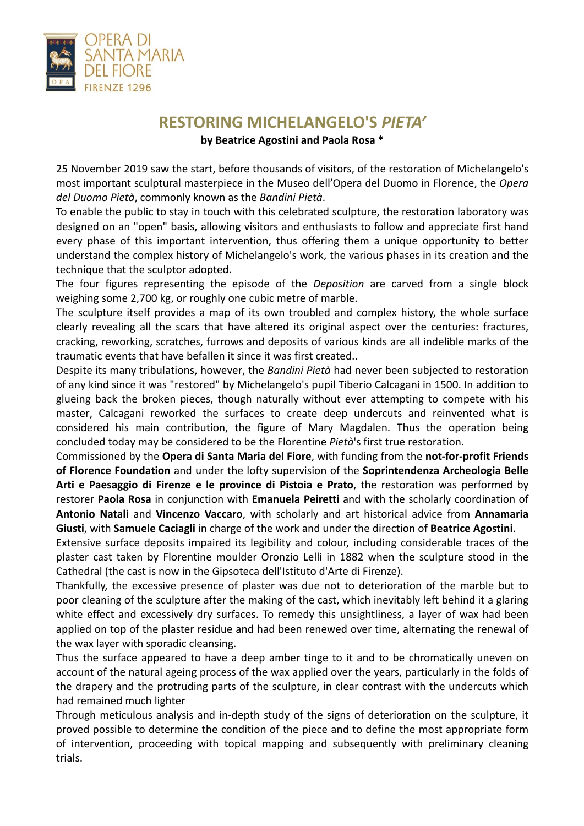

## **RESTORING MICHELANGELO'S** *PIETA'* **by Beatrice Agostini and Paola Rosa \***

25 November 2019 saw the start, before thousands of visitors, of the restoration of Michelangelo's most important sculptural masterpiece in the Museo dell'Opera del Duomo in Florence, the *Opera del Duomo Pietà*, commonly known as the *Bandini Pietà*.

To enable the public to stay in touch with this celebrated sculpture, the restoration laboratory was designed on an "open" basis, allowing visitors and enthusiasts to follow and appreciate first hand every phase of this important intervention, thus offering them a unique opportunity to better understand the complex history of Michelangelo's work, the various phases in its creation and the technique that the sculptor adopted.

The four figures representing the episode of the *Deposition* are carved from a single block weighing some 2,700 kg, or roughly one cubic metre of marble.

The sculpture itself provides a map of its own troubled and complex history, the whole surface clearly revealing all the scars that have altered its original aspect over the centuries: fractures, cracking, reworking, scratches, furrows and deposits of various kinds are all indelible marks of the traumatic events that have befallen it since it was first created..

Despite its many tribulations, however, the *Bandini Pietà* had never been subjected to restoration of any kind since it was "restored" by Michelangelo's pupil Tiberio Calcagani in 1500. In addition to glueing back the broken pieces, though naturally without ever attempting to compete with his master, Calcagani reworked the surfaces to create deep undercuts and reinvented what is considered his main contribution, the figure of Mary Magdalen. Thus the operation being concluded today may be considered to be the Florentine *Pietà*'s first true restoration.

Commissioned by the **Opera di Santa Maria del Fiore**, with funding from the **not-for-profit Friends of Florence Foundation** and under the lofty supervision of the **Soprintendenza Archeologia Belle Arti e Paesaggio di Firenze e le province di Pistoia e Prato**, the restoration was performed by restorer **Paola Rosa** in conjunction with **Emanuela Peiretti** and with the scholarly coordination of **Antonio Natali** and **Vincenzo Vaccaro**, with scholarly and art historical advice from **Annamaria Giusti**, with **Samuele Caciagli** in charge of the work and under the direction of **Beatrice Agostini**.

Extensive surface deposits impaired its legibility and colour, including considerable traces of the plaster cast taken by Florentine moulder Oronzio Lelli in 1882 when the sculpture stood in the Cathedral (the cast is now in the Gipsoteca dell'Istituto d'Arte di Firenze).

Thankfully, the excessive presence of plaster was due not to deterioration of the marble but to poor cleaning of the sculpture after the making of the cast, which inevitably left behind it a glaring white effect and excessively dry surfaces. To remedy this unsightliness, a layer of wax had been applied on top of the plaster residue and had been renewed over time, alternating the renewal of the wax layer with sporadic cleansing.

Thus the surface appeared to have a deep amber tinge to it and to be chromatically uneven on account of the natural ageing process of the wax applied over the years, particularly in the folds of the drapery and the protruding parts of the sculpture, in clear contrast with the undercuts which had remained much lighter

Through meticulous analysis and in-depth study of the signs of deterioration on the sculpture, it proved possible to determine the condition of the piece and to define the most appropriate form of intervention, proceeding with topical mapping and subsequently with preliminary cleaning trials.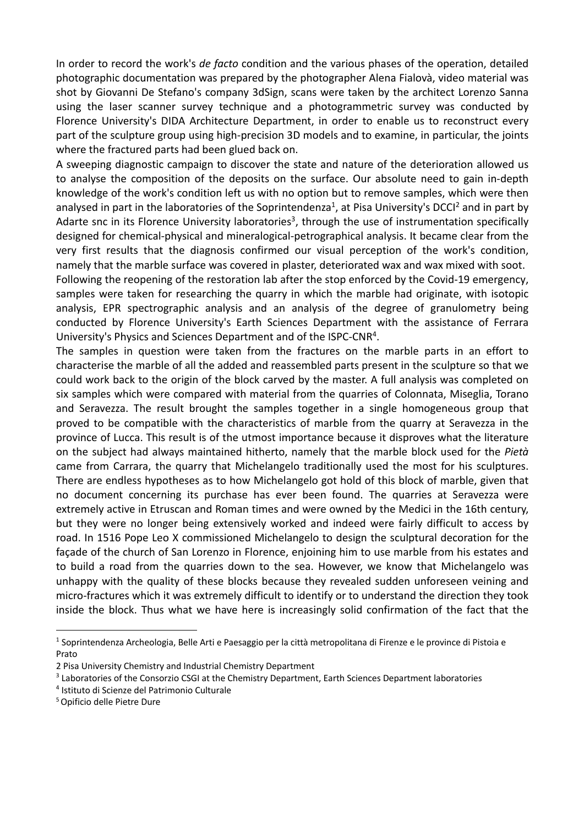In order to record the work's *de facto* condition and the various phases of the operation, detailed photographic documentation was prepared by the photographer Alena Fialovà, video material was shot by Giovanni De Stefano's company 3dSign, scans were taken by the architect Lorenzo Sanna using the laser scanner survey technique and a photogrammetric survey was conducted by Florence University's DIDA Architecture Department, in order to enable us to reconstruct every part of the sculpture group using high-precision 3D models and to examine, in particular, the joints where the fractured parts had been glued back on.

A sweeping diagnostic campaign to discover the state and nature of the deterioration allowed us to analyse the composition of the deposits on the surface. Our absolute need to gain in-depth knowledge of the work's condition left us with no option but to remove samples, which were then analysed in part in the laboratories of the Soprintendenza<sup>1</sup>, at Pisa University's DCCI<sup>2</sup> and in part by Adarte snc in its Florence University laboratories<sup>3</sup>, through the use of instrumentation specifically designed for chemical-physical and mineralogical-petrographical analysis. It became clear from the very first results that the diagnosis confirmed our visual perception of the work's condition, namely that the marble surface was covered in plaster, deteriorated wax and wax mixed with soot.

Following the reopening of the restoration lab after the stop enforced by the Covid-19 emergency, samples were taken for researching the quarry in which the marble had originate, with isotopic analysis, EPR spectrographic analysis and an analysis of the degree of granulometry being conducted by Florence University's Earth Sciences Department with the assistance of Ferrara University's Physics and Sciences Department and of the ISPC-CNR<sup>4</sup>.

The samples in question were taken from the fractures on the marble parts in an effort to characterise the marble of all the added and reassembled parts present in the sculpture so that we could work back to the origin of the block carved by the master. A full analysis was completed on six samples which were compared with material from the quarries of Colonnata, Miseglia, Torano and Seravezza. The result brought the samples together in a single homogeneous group that proved to be compatible with the characteristics of marble from the quarry at Seravezza in the province of Lucca. This result is of the utmost importance because it disproves what the literature on the subject had always maintained hitherto, namely that the marble block used for the *Pietà* came from Carrara, the quarry that Michelangelo traditionally used the most for his sculptures. There are endless hypotheses as to how Michelangelo got hold of this block of marble, given that no document concerning its purchase has ever been found. The quarries at Seravezza were extremely active in Etruscan and Roman times and were owned by the Medici in the 16th century, but they were no longer being extensively worked and indeed were fairly difficult to access by road. In 1516 Pope Leo X commissioned Michelangelo to design the sculptural decoration for the façade of the church of San Lorenzo in Florence, enjoining him to use marble from his estates and to build a road from the quarries down to the sea. However, we know that Michelangelo was unhappy with the quality of these blocks because they revealed sudden unforeseen veining and micro-fractures which it was extremely difficult to identify or to understand the direction they took inside the block. Thus what we have here is increasingly solid confirmation of the fact that the

<sup>&</sup>lt;sup>1</sup> Soprintendenza Archeologia, Belle Arti e Paesaggio per la città metropolitana di Firenze e le province di Pistoia e Prato

<sup>2</sup> Pisa University Chemistry and Industrial Chemistry Department

<sup>&</sup>lt;sup>3</sup> Laboratories of the Consorzio CSGI at the Chemistry Department, Earth Sciences Department laboratories

<sup>4</sup> Istituto di Scienze del Patrimonio Culturale

<sup>5</sup> Opificio delle Pietre Dure